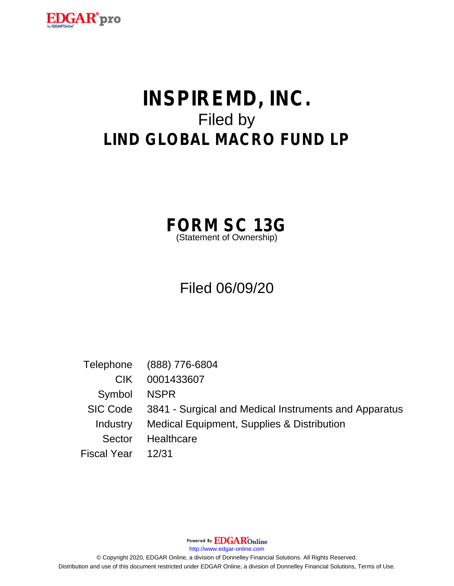

# **INSPIREMD, INC.** Filed by **LIND GLOBAL MACRO FUND LP**

**FORM SC 13G** (Statement of Ownership)

# Filed 06/09/20

Telephone (888) 776-6804 CIK 0001433607 Symbol NSPR SIC Code 3841 - Surgical and Medical Instruments and Apparatus Industry Medical Equipment, Supplies & Distribution Sector Healthcare Fiscal Year 12/31

Powered By **EDGAR**Online

http://www.edgar-online.com

© Copyright 2020, EDGAR Online, a division of Donnelley Financial Solutions. All Rights Reserved. Distribution and use of this document restricted under EDGAR Online, a division of Donnelley Financial Solutions, Terms of Use.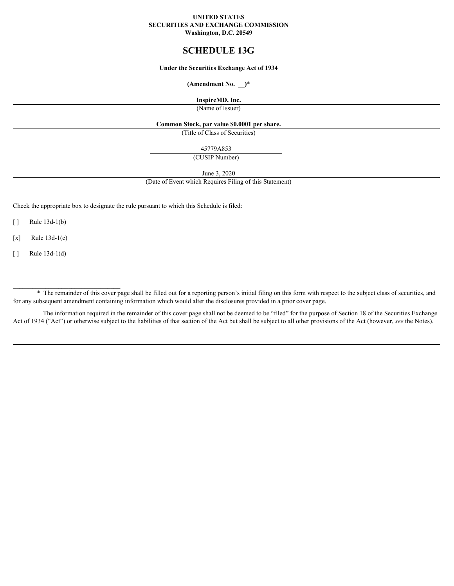#### **UNITED STATES SECURITIES AND EXCHANGE COMMISSION Washington, D.C. 20549**

# **SCHEDULE 13G**

#### **Under the Securities Exchange Act of 1934**

## **(Amendment No. \_\_)**\*

# **InspireMD, Inc.**

(Name of Issuer)

#### **Common Stock, par value \$0.0001 per share.**

(Title of Class of Securities)

45779A853

(CUSIP Number)

June 3, 2020

(Date of Event which Requires Filing of this Statement)

Check the appropriate box to designate the rule pursuant to which this Schedule is filed:

 $[ ]$  Rule 13d-1(b)

 $[x]$  Rule 13d-1(c)

 $\lceil \cdot \rceil$  Rule 13d-1(d)

\* The remainder of this cover page shall be filled out for a reporting person's initial filing on this form with respect to the subject class of securities, and for any subsequent amendment containing information which would alter the disclosures provided in a prior cover page.

The information required in the remainder of this cover page shall not be deemed to be "filed" for the purpose of Section 18 of the Securities Exchange Act of 1934 ("Act") or otherwise subject to the liabilities of that section of the Act but shall be subject to all other provisions of the Act (however, see the Notes).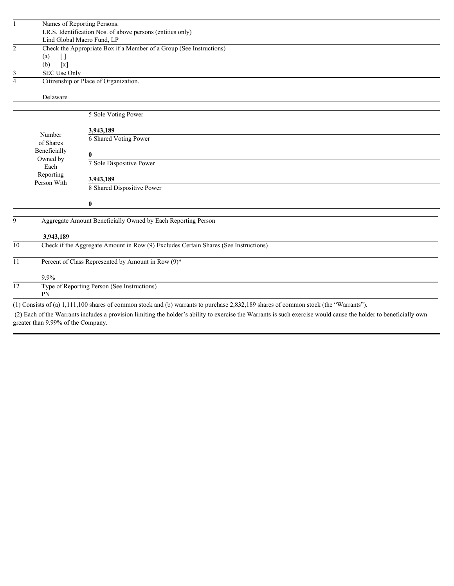|                 |                          | Names of Reporting Persons.                                                                                                                                      |
|-----------------|--------------------------|------------------------------------------------------------------------------------------------------------------------------------------------------------------|
|                 |                          | I.R.S. Identification Nos. of above persons (entities only)                                                                                                      |
|                 |                          | Lind Global Macro Fund, LP                                                                                                                                       |
| $\overline{2}$  |                          | Check the Appropriate Box if a Member of a Group (See Instructions)                                                                                              |
|                 | $\lceil$<br>(a)          |                                                                                                                                                                  |
|                 | (b)<br>$\lceil x \rceil$ |                                                                                                                                                                  |
| 3               | <b>SEC Use Only</b>      |                                                                                                                                                                  |
| $\overline{4}$  |                          | Citizenship or Place of Organization.                                                                                                                            |
|                 |                          |                                                                                                                                                                  |
|                 | Delaware                 |                                                                                                                                                                  |
|                 |                          |                                                                                                                                                                  |
|                 |                          | 5 Sole Voting Power                                                                                                                                              |
|                 |                          |                                                                                                                                                                  |
|                 | Number                   | 3,943,189<br>6 Shared Voting Power                                                                                                                               |
|                 | of Shares                |                                                                                                                                                                  |
|                 | Beneficially             | $\bf{0}$                                                                                                                                                         |
|                 | Owned by                 | 7 Sole Dispositive Power                                                                                                                                         |
|                 | Each                     |                                                                                                                                                                  |
|                 | Reporting<br>Person With | 3,943,189                                                                                                                                                        |
|                 |                          | 8 Shared Dispositive Power                                                                                                                                       |
|                 |                          |                                                                                                                                                                  |
|                 |                          | $\bf{0}$                                                                                                                                                         |
|                 |                          |                                                                                                                                                                  |
| 9               |                          | Aggregate Amount Beneficially Owned by Each Reporting Person                                                                                                     |
|                 |                          |                                                                                                                                                                  |
|                 | 3,943,189                |                                                                                                                                                                  |
| 10 <sup>1</sup> |                          | Check if the Aggregate Amount in Row (9) Excludes Certain Shares (See Instructions)                                                                              |
|                 |                          |                                                                                                                                                                  |
| 11              |                          | Percent of Class Represented by Amount in Row (9)*                                                                                                               |
|                 |                          |                                                                                                                                                                  |
|                 | 9.9%                     |                                                                                                                                                                  |
| $\overline{12}$ | <b>PN</b>                | Type of Reporting Person (See Instructions)                                                                                                                      |
|                 |                          |                                                                                                                                                                  |
|                 |                          | (1) Consists of (a) 1,111,100 shares of common stock and (b) warrants to purchase 2,832,189 shares of common stock (the "Warrants").                             |
|                 |                          | (2) Each of the Warrants includes a provision limiting the holder's ability to exercise the Warrants is such exercise would cause the holder to beneficially own |

greater than 9.99% of the Company.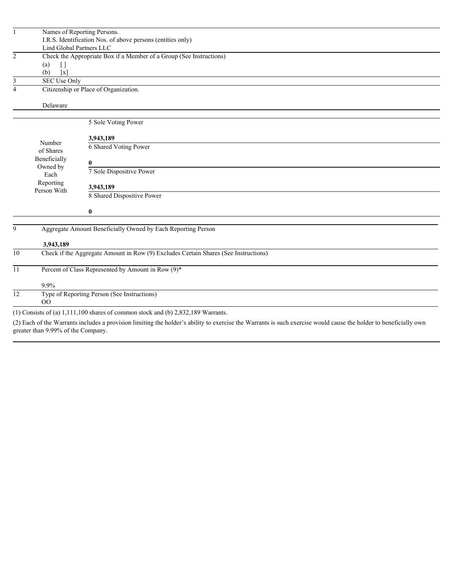|                 | Lind Global Partners LLC                                    | Names of Reporting Persons.<br>I.R.S. Identification Nos. of above persons (entities only)                                                                       |
|-----------------|-------------------------------------------------------------|------------------------------------------------------------------------------------------------------------------------------------------------------------------|
|                 |                                                             |                                                                                                                                                                  |
| $\overline{2}$  | $\left[\right]$<br>(a)<br>$\left[ \mathbf{X}\right]$<br>(b) | Check the Appropriate Box if a Member of a Group (See Instructions)                                                                                              |
| 3               | <b>SEC Use Only</b>                                         |                                                                                                                                                                  |
| $\overline{4}$  |                                                             | Citizenship or Place of Organization.                                                                                                                            |
|                 | Delaware                                                    |                                                                                                                                                                  |
|                 |                                                             | 5 Sole Voting Power                                                                                                                                              |
|                 |                                                             |                                                                                                                                                                  |
|                 | Number<br>of Shares                                         | 3,943,189<br><b>6 Shared Voting Power</b>                                                                                                                        |
|                 | Beneficially                                                | $\bf{0}$                                                                                                                                                         |
|                 | Owned by<br>Each<br>Reporting<br>Person With                | 7 Sole Dispositive Power                                                                                                                                         |
|                 |                                                             | 3,943,189                                                                                                                                                        |
|                 |                                                             | 8 Shared Dispositive Power                                                                                                                                       |
|                 |                                                             | $\mathbf{0}$                                                                                                                                                     |
| 9               |                                                             | Aggregate Amount Beneficially Owned by Each Reporting Person                                                                                                     |
|                 | 3,943,189                                                   |                                                                                                                                                                  |
| $\overline{10}$ |                                                             | Check if the Aggregate Amount in Row (9) Excludes Certain Shares (See Instructions)                                                                              |
| $11\,$          |                                                             | Percent of Class Represented by Amount in Row (9)*                                                                                                               |
|                 | 9.9%                                                        |                                                                                                                                                                  |
| $\overline{12}$ | OQ                                                          | Type of Reporting Person (See Instructions)                                                                                                                      |
|                 |                                                             | (1) Consists of (a) $1,111,100$ shares of common stock and (b) $2,832,189$ Warrants.                                                                             |
|                 | greater than 9.99% of the Company.                          | (2) Each of the Warrants includes a provision limiting the holder's ability to exercise the Warrants is such exercise would cause the holder to beneficially own |
|                 |                                                             |                                                                                                                                                                  |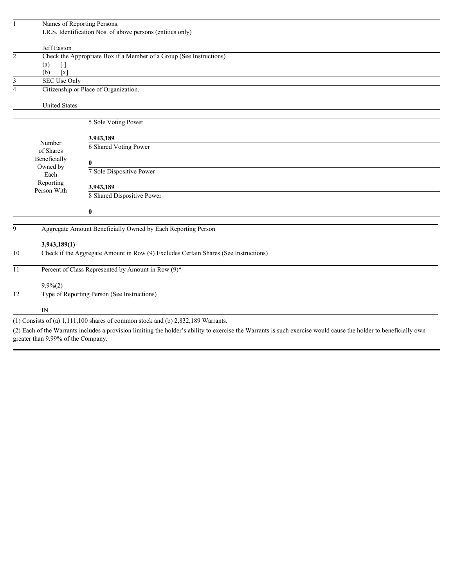|                 | Names of Reporting Persons.        |                                                                                                                                                                  |  |
|-----------------|------------------------------------|------------------------------------------------------------------------------------------------------------------------------------------------------------------|--|
|                 |                                    | I.R.S. Identification Nos. of above persons (entities only)                                                                                                      |  |
|                 | Jeff Easton                        |                                                                                                                                                                  |  |
| $\overline{c}$  |                                    | Check the Appropriate Box if a Member of a Group (See Instructions)                                                                                              |  |
|                 | (a)<br>$[ \ ]$                     |                                                                                                                                                                  |  |
|                 | (b)<br>$\left[ x \right]$          |                                                                                                                                                                  |  |
| 3               | <b>SEC Use Only</b>                |                                                                                                                                                                  |  |
| $\overline{4}$  |                                    | Citizenship or Place of Organization.                                                                                                                            |  |
|                 | <b>United States</b>               |                                                                                                                                                                  |  |
|                 |                                    |                                                                                                                                                                  |  |
|                 |                                    | 5 Sole Voting Power                                                                                                                                              |  |
|                 |                                    | 3,943,189                                                                                                                                                        |  |
|                 | Number                             | 6 Shared Voting Power                                                                                                                                            |  |
|                 | of Shares<br>Beneficially          |                                                                                                                                                                  |  |
|                 | Owned by                           | $\bf{0}$                                                                                                                                                         |  |
|                 | Each                               | 7 Sole Dispositive Power                                                                                                                                         |  |
|                 | Reporting                          | 3,943,189                                                                                                                                                        |  |
|                 | Person With                        | 8 Shared Dispositive Power                                                                                                                                       |  |
|                 |                                    |                                                                                                                                                                  |  |
|                 |                                    | $\bf{0}$                                                                                                                                                         |  |
| 9               |                                    | Aggregate Amount Beneficially Owned by Each Reporting Person                                                                                                     |  |
|                 |                                    |                                                                                                                                                                  |  |
|                 | 3,943,189(1)                       |                                                                                                                                                                  |  |
| $\overline{10}$ |                                    | Check if the Aggregate Amount in Row (9) Excludes Certain Shares (See Instructions)                                                                              |  |
|                 |                                    |                                                                                                                                                                  |  |
| $\overline{11}$ |                                    | Percent of Class Represented by Amount in Row (9)*                                                                                                               |  |
|                 | $9.9\%(2)$                         |                                                                                                                                                                  |  |
| $\overline{12}$ |                                    | Type of Reporting Person (See Instructions)                                                                                                                      |  |
|                 | ${\rm IN}$                         |                                                                                                                                                                  |  |
|                 |                                    | $(1)$ Consists of (a) 1,111,100 shares of common stock and (b) 2,832,189 Warrants.                                                                               |  |
|                 |                                    | (2) Each of the Warrants includes a provision limiting the holder's ability to exercise the Warrants is such exercise would cause the holder to beneficially own |  |
|                 | greater than 9.99% of the Company. |                                                                                                                                                                  |  |
|                 |                                    |                                                                                                                                                                  |  |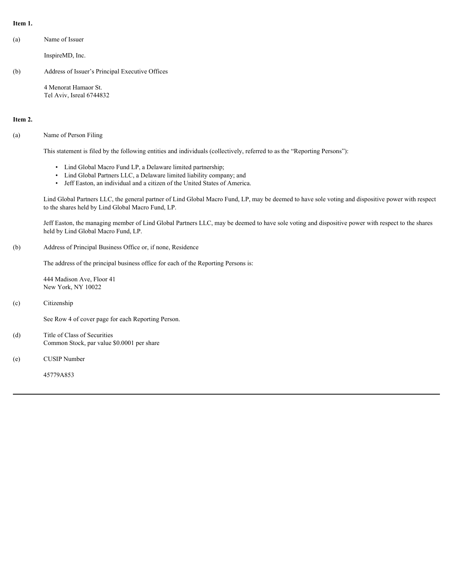#### **Item 1.**

(a) Name of Issuer

InspireMD, Inc.

(b) Address of Issuer's Principal Executive Offices

4 Menorat Hamaor St. Tel Aviv, Isreal 6744832

#### **Item 2.**

#### (a) Name of Person Filing

This statement is filed by the following entities and individuals (collectively, referred to as the "Reporting Persons"):

- Lind Global Macro Fund LP, a Delaware limited partnership;
- Lind Global Partners LLC, a Delaware limited liability company; and
- Jeff Easton, an individual and a citizen of the United States of America.

Lind Global Partners LLC, the general partner of Lind Global Macro Fund, LP, may be deemed to have sole voting and dispositive power with respect to the shares held by Lind Global Macro Fund, LP.

Jeff Easton, the managing member of Lind Global Partners LLC, may be deemed to have sole voting and dispositive power with respect to the shares held by Lind Global Macro Fund, LP.

(b) Address of Principal Business Office or, if none, Residence

The address of the principal business office for each of the Reporting Persons is:

444 Madison Ave, Floor 41 New York, NY 10022

(c) Citizenship

See Row 4 of cover page for each Reporting Person.

- (d) Title of Class of Securities Common Stock, par value \$0.0001 per share
- (e) CUSIP Number

45779A853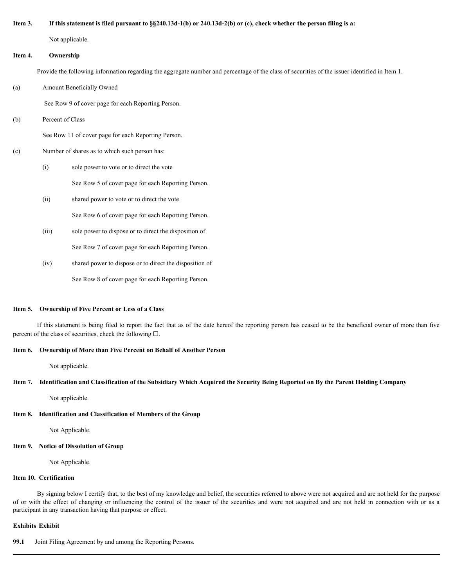#### **Item 3. If this statement is filed pursuant to §§240.13d-1(b) or 240.13d-2(b) or (c), check whether the person filing is a:**

Not applicable.

#### **Item 4. Ownership**

Provide the following information regarding the aggregate number and percentage of the class of securities of the issuer identified in Item 1.

(a) Amount Beneficially Owned

See Row 9 of cover page for each Reporting Person.

(b) Percent of Class

See Row 11 of cover page for each Reporting Person.

#### (c) Number of shares as to which such person has:

(i) sole power to vote or to direct the vote

See Row 5 of cover page for each Reporting Person.

(ii) shared power to vote or to direct the vote

See Row 6 of cover page for each Reporting Person.

- (iii) sole power to dispose or to direct the disposition of See Row 7 of cover page for each Reporting Person.
- (iv) shared power to dispose or to direct the disposition of See Row 8 of cover page for each Reporting Person.

#### **Item 5. Ownership of Five Percent or Less of a Class**

If this statement is being filed to report the fact that as of the date hereof the reporting person has ceased to be the beneficial owner of more than five percent of the class of securities, check the following  $\square$ .

#### **Item 6. Ownership of More than Five Percent on Behalf of Another Person**

Not applicable.

#### **Item 7. Identification and Classification of the Subsidiary Which Acquired the Security Being Reported on By the Parent Holding Company**

Not applicable.

# **Item 8. Identification and Classification of Members of the Group**

Not Applicable.

# **Item 9. Notice of Dissolution of Group**

Not Applicable.

# **Item 10. Certification**

By signing below I certify that, to the best of my knowledge and belief, the securities referred to above were not acquired and are not held for the purpose iv) shared power to diapose or to discorting the outser<br>
Near S. Ownership of Five Percent or Less of a Class<br>
If this statement is being find to sense the fact that are of the data benefithe requering person was coosed to participant in any transaction having that purpose or effect.

# **Exhibits Exhibit**

**99.1** Joint Filing Agreement by and among the Reporting Persons.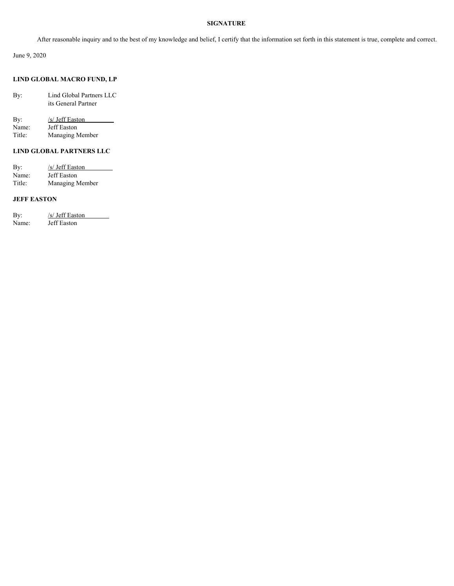#### **SIGNATURE**

After reasonable inquiry and to the best of my knowledge and belief, I certify that the information set forth in this statement is true, complete and correct.

June 9, 2020

# **LIND GLOBAL MACRO FUND, LP**

| By: | Lind Global Partners LLC |
|-----|--------------------------|
|     | its General Partner      |

| By:    | /s/ Jeff Easton |  |
|--------|-----------------|--|
| Name:  | Jeff Easton     |  |
| Title: | Managing Member |  |

# **LIND GLOBAL PARTNERS LLC**

| By:    | /s/ Jeff Easton |  |
|--------|-----------------|--|
| Name:  | Jeff Easton     |  |
| Title: | Managing Member |  |

# **JEFF EASTON**

| By:   | /s/ Jeff Easton |
|-------|-----------------|
| Name: | Jeff Easton     |